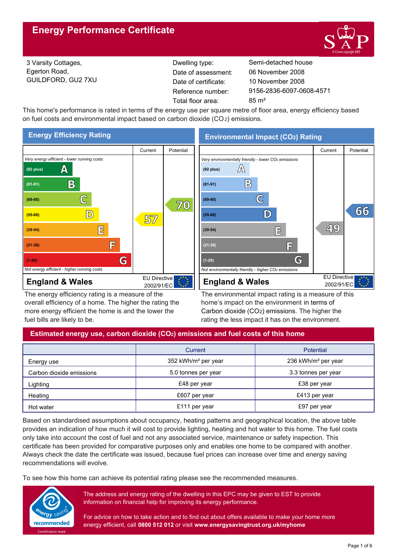

3 Varsity Cottages, Egerton Road, GUILDFORD, GU2 7XU Reference number: Date of certificate: Total floor area: 85 m<sup>2</sup> Date of assessment:

Dwelling type: Semi-detached house 9156-2836-6097-0608-4571 10 November 2008 06 November 2008

This home's performance is rated in terms of the energy use per square metre of floor area, energy efficiency based on fuel costs and environmental impact based on carbon dioxide (CO2) emissions.



The energy efficiency rating is a measure of the overall efficiency of a home. The higher the rating the more energy efficient the home is and the lower the fuel bills are likely to be.

**Environmental Impact (CO2) Rating**



The environmental impact rating is a measure of this home's impact on the environment in terms of Carbon dioxide (CO2) emissions. The higher the rating the less impact it has on the environment.

## **Estimated energy use, carbon dioxide (CO2) emissions and fuel costs of this home**

|                          | Current                         | <b>Potential</b>                |
|--------------------------|---------------------------------|---------------------------------|
| Energy use               | 352 kWh/m <sup>2</sup> per year | 236 kWh/m <sup>2</sup> per year |
| Carbon dioxide emissions | 5.0 tonnes per year             | 3.3 tonnes per year             |
| Lighting                 | £48 per year                    | £38 per year                    |
| Heating                  | £607 per year                   | £413 per year                   |
| Hot water                | £111 per year                   | £97 per year                    |

Based on standardised assumptions about occupancy, heating patterns and geographical location, the above table provides an indication of how much it will cost to provide lighting, heating and hot water to this home. The fuel costs only take into account the cost of fuel and not any associated service, maintenance or safety inspection. This certificate has been provided for comparative purposes only and enables one home to be compared with another. Always check the date the certificate was issued, because fuel prices can increase over time and energy saving recommendations will evolve.

To see how this home can achieve its potential rating please see the recommended measures.



The address and energy rating of the dwelling in this EPC may be given to EST to provide information on financial help for improving its energy performance.

For advice on how to take action and to find out about offers available to make your home more energy efficient, call **0800 512 012** or visit **www.energysavingtrust.org.uk/myhome**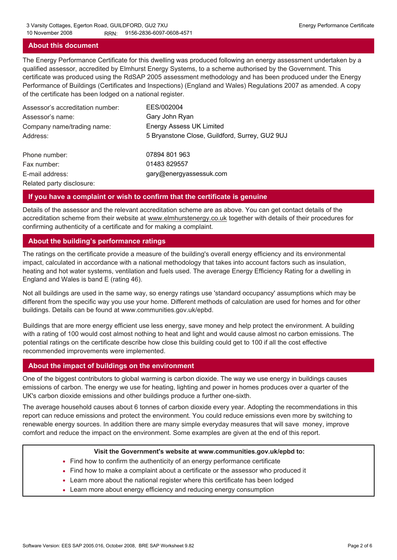## **About this document**

The Energy Performance Certificate for this dwelling was produced following an energy assessment undertaken by a qualified assessor, accredited by Elmhurst Energy Systems, to a scheme authorised by the Government. This certificate was produced using the RdSAP 2005 assessment methodology and has been produced under the Energy Performance of Buildings (Certificates and Inspections) (England and Wales) Regulations 2007 as amended. A copy of the certificate has been lodged on a national register.

| Assessor's accreditation number: | EES/002004                                     |
|----------------------------------|------------------------------------------------|
| Assessor's name:                 | Gary John Ryan                                 |
| Company name/trading name:       | <b>Energy Assess UK Limited</b>                |
| Address:                         | 5 Bryanstone Close, Guildford, Surrey, GU2 9UJ |
| Phone number:                    | 07894 801 963                                  |
| Fax number:                      | 01483 829557                                   |
| E-mail address:                  | gary@energyassessuk.com                        |
| Related party disclosure:        |                                                |

## **If you have a complaint or wish to confirm that the certificate is genuine**

Details of the assessor and the relevant accreditation scheme are as above. You can get contact details of the accreditation scheme from their website at www.elmhurstenergy.co.uk together with details of their procedures for confirming authenticity of a certificate and for making a complaint.

## **About the building's performance ratings**

The ratings on the certificate provide a measure of the building's overall energy efficiency and its environmental impact, calculated in accordance with a national methodology that takes into account factors such as insulation, heating and hot water systems, ventilation and fuels used. The average Energy Efficiency Rating for a dwelling in England and Wales is band E (rating 46).

Not all buildings are used in the same way, so energy ratings use 'standard occupancy' assumptions which may be different from the specific way you use your home. Different methods of calculation are used for homes and for other buildings. Details can be found at www.communities.gov.uk/epbd.

Buildings that are more energy efficient use less energy, save money and help protect the environment. A building with a rating of 100 would cost almost nothing to heat and light and would cause almost no carbon emissions. The potential ratings on the certificate describe how close this building could get to 100 if all the cost effective recommended improvements were implemented.

## **About the impact of buildings on the environment**

One of the biggest contributors to global warming is carbon dioxide. The way we use energy in buildings causes emissions of carbon. The energy we use for heating, lighting and power in homes produces over a quarter of the UK's carbon dioxide emissions and other buildings produce a further one-sixth.

The average household causes about 6 tonnes of carbon dioxide every year. Adopting the recommendations in this report can reduce emissions and protect the environment. You could reduce emissions even more by switching to renewable energy sources. In addition there are many simple everyday measures that will save money, improve comfort and reduce the impact on the environment. Some examples are given at the end of this report.

#### **Visit the Government's website at www.communities.gov.uk/epbd to:**

- Find how to confirm the authenticity of an energy performance certificate
- Find how to make a complaint about a certificate or the assessor who produced it •
- Learn more about the national register where this certificate has been lodged •
- Learn more about energy efficiency and reducing energy consumption •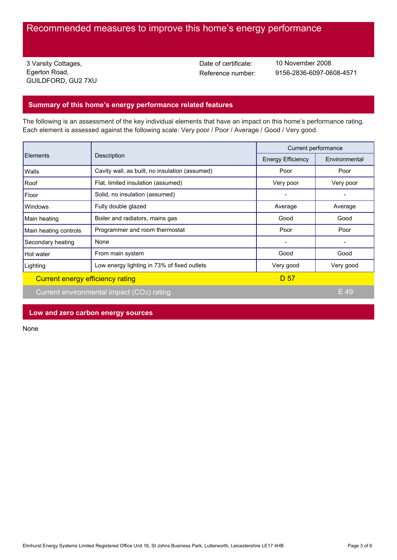# Recommended measures to improve this home's energy performance

3 Varsity Cottages, Egerton Road, GUILDFORD, GU2 7XU Date of certificate:

Reference number: 9156-2836-6097-0608-4571 10 November 2008

## **Summary of this home's energy performance related features**

The following is an assessment of the key individual elements that have an impact on this home's performance rating. Each element is assessed against the following scale: Very poor / Poor / Average / Good / Very good.

| <b>Elements</b>                         | Description                                    | Current performance      |               |
|-----------------------------------------|------------------------------------------------|--------------------------|---------------|
|                                         |                                                | <b>Energy Efficiency</b> | Environmental |
| Walls                                   | Cavity wall, as built, no insulation (assumed) | Poor                     | Poor          |
| Roof                                    | Flat, limited insulation (assumed)             | Very poor                | Very poor     |
| Floor                                   | Solid, no insulation (assumed)                 |                          |               |
| Windows                                 | Fully double glazed                            | Average                  | Average       |
| Main heating                            | Boiler and radiators, mains gas                | Good                     | Good          |
| Main heating controls                   | Programmer and room thermostat                 | Poor                     | Poor          |
| Secondary heating                       | None                                           |                          |               |
| Hot water                               | From main system                               | Good                     | Good          |
| Lighting                                | Low energy lighting in 73% of fixed outlets    | Very good                | Very good     |
| <b>Current energy efficiency rating</b> |                                                | D 57                     |               |
|                                         | Current environmental impact (CO2) rating      |                          | $E$ 49        |

**Low and zero carbon energy sources**

None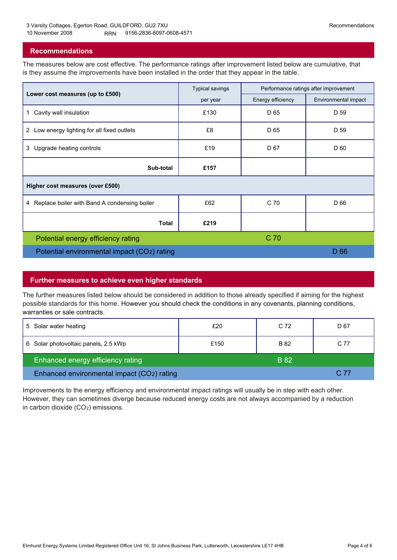## **Recommendations**

The measures below are cost effective. The performance ratings after improvement listed below are cumulative, that is they assume the improvements have been installed in the order that they appear in the table.

|                                                   | <b>Typical savings</b> | Performance ratings after improvement |                      |  |  |
|---------------------------------------------------|------------------------|---------------------------------------|----------------------|--|--|
| Lower cost measures (up to £500)                  | per year               | Energy efficiency                     | Environmental impact |  |  |
| Cavity wall insulation<br>1                       | £130                   | D 65                                  | D 59                 |  |  |
| 2 Low energy lighting for all fixed outlets       | £8                     | D <sub>65</sub>                       | D 59                 |  |  |
| 3 Upgrade heating controls                        | £19                    | D 67                                  | D 60                 |  |  |
| Sub-total                                         | £157                   |                                       |                      |  |  |
| Higher cost measures (over £500)                  |                        |                                       |                      |  |  |
| Replace boiler with Band A condensing boiler<br>4 | £62                    | C 70                                  | D 66                 |  |  |
| <b>Total</b>                                      | £219                   |                                       |                      |  |  |
| Potential energy efficiency rating                |                        | C 70                                  |                      |  |  |
| Potential environmental impact (CO2) rating       |                        |                                       | D 66                 |  |  |

## **Further measures to achieve even higher standards**

The further measures listed below should be considered in addition to those already specified if aiming for the highest possible standards for this home. However you should check the conditions in any covenants, planning conditions, warranties or sale contracts.

| 5 Solar water heating                      | £20  | C 72        | D 67 |
|--------------------------------------------|------|-------------|------|
| 6 Solar photovoltaic panels, 2.5 kWp       | £150 | <b>B</b> 82 | C 77 |
| Enhanced energy efficiency rating          |      | <b>B</b> 82 |      |
| Enhanced environmental impact (CO2) rating |      |             | C 77 |

Improvements to the energy efficiency and environmental impact ratings will usually be in step with each other. However, they can sometimes diverge because reduced energy costs are not always accompanied by a reduction in carbon dioxide (CO2) emissions.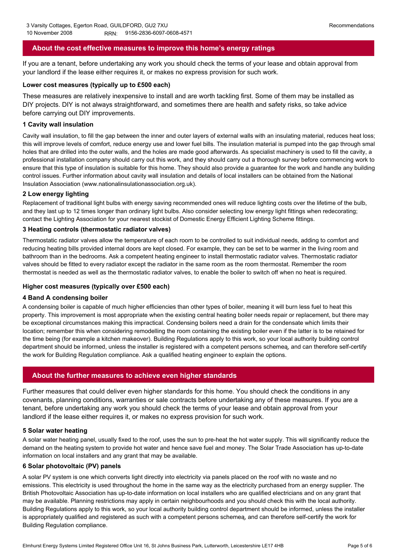## **About the cost effective measures to improve this home's energy ratings**

If you are a tenant, before undertaking any work you should check the terms of your lease and obtain approval from your landlord if the lease either requires it, or makes no express provision for such work.

#### **Lower cost measures (typically up to £500 each)**

These measures are relatively inexpensive to install and are worth tackling first. Some of them may be installed as DIY projects. DIY is not always straightforward, and sometimes there are health and safety risks, so take advice before carrying out DIY improvements.

#### **1 Cavity wall insulation**

Cavity wall insulation, to fill the gap between the inner and outer layers of external walls with an insulating material, reduces heat loss; this will improve levels of comfort, reduce energy use and lower fuel bills. The insulation material is pumped into the gap through small holes that are drilled into the outer walls, and the holes are made good afterwards. As specialist machinery is used to fill the cavity, a professional installation company should carry out this work, and they should carry out a thorough survey before commencing work to ensure that this type of insulation is suitable for this home. They should also provide a guarantee for the work and handle any building control issues. Further information about cavity wall insulation and details of local installers can be obtained from the National Insulation Association (www.nationalinsulationassociation.org.uk).

#### **2 Low energy lighting**

Replacement of traditional light bulbs with energy saving recommended ones will reduce lighting costs over the lifetime of the bulb, and they last up to 12 times longer than ordinary light bulbs. Also consider selecting low energy light fittings when redecorating; contact the Lighting Association for your nearest stockist of Domestic Energy Efficient Lighting Scheme fittings.

#### **3 Heating controls (thermostatic radiator valves)**

Thermostatic radiator valves allow the temperature of each room to be controlled to suit individual needs, adding to comfort and reducing heating bills provided internal doors are kept closed. For example, they can be set to be warmer in the living room and bathroom than in the bedrooms. Ask a competent heating engineer to install thermostatic radiator valves. Thermostatic radiator valves should be fitted to every radiator except the radiator in the same room as the room thermostat. Remember the room thermostat is needed as well as the thermostatic radiator valves, to enable the boiler to switch off when no heat is required.

#### **Higher cost measures (typically over £500 each)**

#### **4 Band A condensing boiler**

A condensing boiler is capable of much higher efficiencies than other types of boiler, meaning it will burn less fuel to heat this property. This improvement is most appropriate when the existing central heating boiler needs repair or replacement, but there may be exceptional circumstances making this impractical. Condensing boilers need a drain for the condensate which limits their location; remember this when considering remodelling the room containing the existing boiler even if the latter is to be retained for the time being (for example a kitchen makeover). Building Regulations apply to this work, so your local authority building control department should be informed, unless the installer is registered with a competent persons schemeą, and can therefore self-certify the work for Building Regulation compliance. Ask a qualified heating engineer to explain the options.

#### **About the further measures to achieve even higher standards**

Further measures that could deliver even higher standards for this home. You should check the conditions in any covenants, planning conditions, warranties or sale contracts before undertaking any of these measures. If you are a tenant, before undertaking any work you should check the terms of your lease and obtain approval from your landlord if the lease either requires it, or makes no express provision for such work.

#### **5 Solar water heating**

A solar water heating panel, usually fixed to the roof, uses the sun to pre-heat the hot water supply. This will significantly reduce the demand on the heating system to provide hot water and hence save fuel and money. The Solar Trade Association has up-to-date information on local installers and any grant that may be available.

### **6 Solar photovoltaic (PV) panels**

A solar PV system is one which converts light directly into electricity via panels placed on the roof with no waste and no emissions. This electricity is used throughout the home in the same way as the electricity purchased from an energy supplier. The British Photovoltaic Association has up-to-date information on local installers who are qualified electricians and on any grant that may be available. Planning restrictions may apply in certain neighbourhoods and you should check this with the local authority. Building Regulations apply to this work, so your local authority building control department should be informed, unless the installer is appropriately qualified and registered as such with a competent persons schemeą, and can therefore self-certify the work for Building Regulation compliance.